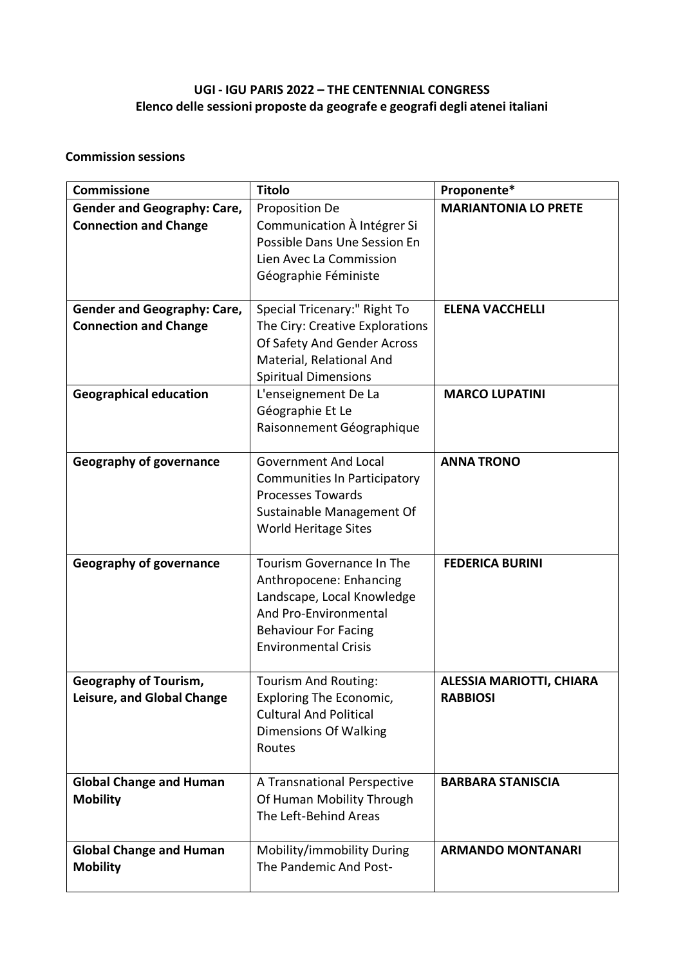## **UGI - IGU PARIS 2022 – THE CENTENNIAL CONGRESS Elenco delle sessioni proposte da geografe e geografi degli atenei italiani**

## **Commission sessions**

| <b>Commissione</b>                                                 | <b>Titolo</b>                                                                                                                                                                    | Proponente*                                        |
|--------------------------------------------------------------------|----------------------------------------------------------------------------------------------------------------------------------------------------------------------------------|----------------------------------------------------|
| <b>Gender and Geography: Care,</b><br><b>Connection and Change</b> | Proposition De<br>Communication À Intégrer Si<br>Possible Dans Une Session En<br>Lien Avec La Commission<br>Géographie Féministe                                                 | <b>MARIANTONIA LO PRETE</b>                        |
| <b>Gender and Geography: Care,</b><br><b>Connection and Change</b> | Special Tricenary:" Right To<br>The Ciry: Creative Explorations<br>Of Safety And Gender Across<br>Material, Relational And<br><b>Spiritual Dimensions</b>                        | <b>ELENA VACCHELLI</b>                             |
| <b>Geographical education</b>                                      | L'enseignement De La<br>Géographie Et Le<br>Raisonnement Géographique                                                                                                            | <b>MARCO LUPATINI</b>                              |
| <b>Geography of governance</b>                                     | <b>Government And Local</b><br><b>Communities In Participatory</b><br><b>Processes Towards</b><br>Sustainable Management Of<br>World Heritage Sites                              | <b>ANNA TRONO</b>                                  |
| <b>Geography of governance</b>                                     | <b>Tourism Governance In The</b><br>Anthropocene: Enhancing<br>Landscape, Local Knowledge<br>And Pro-Environmental<br><b>Behaviour For Facing</b><br><b>Environmental Crisis</b> | <b>FEDERICA BURINI</b>                             |
| <b>Geography of Tourism,</b><br>Leisure, and Global Change         | Tourism And Routing:<br>Exploring The Economic,<br><b>Cultural And Political</b><br>Dimensions Of Walking<br>Routes                                                              | <b>ALESSIA MARIOTTI, CHIARA</b><br><b>RABBIOSI</b> |
| <b>Global Change and Human</b><br><b>Mobility</b>                  | A Transnational Perspective<br>Of Human Mobility Through<br>The Left-Behind Areas                                                                                                | <b>BARBARA STANISCIA</b>                           |
| <b>Global Change and Human</b><br><b>Mobility</b>                  | Mobility/immobility During<br>The Pandemic And Post-                                                                                                                             | <b>ARMANDO MONTANARI</b>                           |